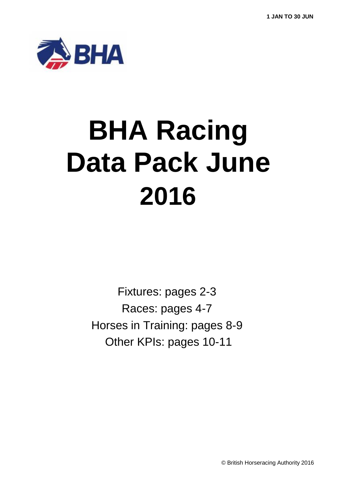

# **BHA Racing Data Pack June 2016**

Fixtures: pages 2-3 Races: pages 4-7 Horses in Training: pages 8-9 Other KPIs: pages 10-11

© British Horseracing Authority 2016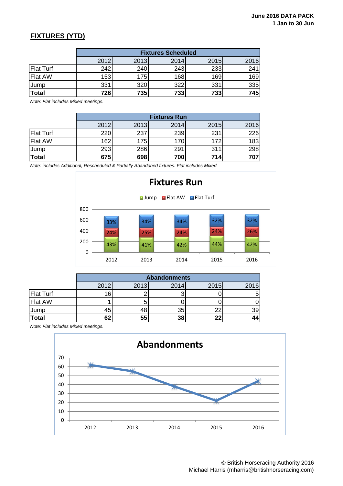### **FIXTURES (YTD)**

|                  | <b>Fixtures Scheduled</b> |      |      |      |      |  |  |  |
|------------------|---------------------------|------|------|------|------|--|--|--|
|                  | 2012                      | 2013 | 2014 | 2015 | 2016 |  |  |  |
| <b>Flat Turf</b> | 242                       | 240  | 243  | 233  | 241  |  |  |  |
| <b>Flat AW</b>   | 153                       | 175  | 168  | 169  | 169  |  |  |  |
| Jump             | 331                       | 320  | 322  | 331  | 335  |  |  |  |
| Total            | 726                       | 735  | 733  | 733  | 745  |  |  |  |

*Note: Flat includes Mixed meetings.*

|                  | <b>Fixtures Run</b> |      |      |      |      |  |  |  |
|------------------|---------------------|------|------|------|------|--|--|--|
|                  | 2012                | 2013 | 2014 | 2015 | 2016 |  |  |  |
| <b>Flat Turf</b> | 22C                 | 237  | 239  | 231  | 226  |  |  |  |
| <b>Flat AW</b>   | 162                 | 175  | 170  | 172  | 183  |  |  |  |
| <b>Jump</b>      | 293                 | 286  | 291  | 311  | 298  |  |  |  |
| <b>Total</b>     | 675                 | 698  | 700  | 714  | 707  |  |  |  |

*Note: includes Additional, Rescheduled & Partially Abandoned fixtures. Flat includes Mixed.*



|                  | <b>Abandonments</b> |      |      |      |      |  |  |  |
|------------------|---------------------|------|------|------|------|--|--|--|
|                  | 2012                | 2013 | 2014 | 2015 | 2016 |  |  |  |
| <b>Flat Turf</b> | 161                 |      |      |      |      |  |  |  |
| <b>Flat AW</b>   |                     |      |      |      |      |  |  |  |
| Jump             |                     | 4C   | 35   | 22   | 39   |  |  |  |
| Total            | 62                  | 55   | 38   | 22   | 44   |  |  |  |

*Note: Flat includes Mixed meetings.*

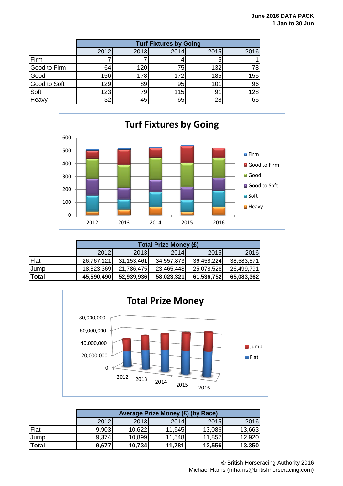|              |      | <b>Turf Fixtures by Going</b> |      |      |      |  |  |  |
|--------------|------|-------------------------------|------|------|------|--|--|--|
|              | 2012 | 2013                          | 2014 | 2015 | 2016 |  |  |  |
| Firm         |      |                               |      |      |      |  |  |  |
| Good to Firm | 64   | 120                           | 75   | 132  | 78   |  |  |  |
| Good         | 156  | 178                           | 172  | 185  | 155  |  |  |  |
| Good to Soft | 129  | 89                            | 95   | 101  | 96   |  |  |  |
| Soft         | 123  | 79.                           | 115  | 91   | 128  |  |  |  |
| Heavy        | 32   | 45                            | 65   | 28   | 65   |  |  |  |



|       | <b>Total Prize Money (£)</b> |             |            |            |            |  |  |  |
|-------|------------------------------|-------------|------------|------------|------------|--|--|--|
|       | 2012                         | <b>2013</b> | 2014       | 2015       | 2016       |  |  |  |
| Flat  | 26.767.121                   | 31,153,461  | 34,557,873 | 36,458,224 | 38,583,571 |  |  |  |
| Jump  | 18,823,369                   | 21,786,475  | 23,465,448 | 25,078,528 | 26,499,791 |  |  |  |
| Total | 45,590,490                   | 52,939,936  | 58,023,321 | 61,536,752 | 65,083,362 |  |  |  |



|              | Average Prize Money (£) (by Race) |        |        |        |        |  |  |
|--------------|-----------------------------------|--------|--------|--------|--------|--|--|
|              | 2012                              | 2013   | 2014   | 2015   | 2016   |  |  |
| Flat         | 9,903                             | 10,622 | 11,945 | 13,086 | 13,663 |  |  |
| <b>Jump</b>  | 9,374                             | 10,899 | 11,548 | 11,857 | 12,920 |  |  |
| <b>Total</b> | 9,677                             | 10,734 | 11,781 | 12,556 | 13,350 |  |  |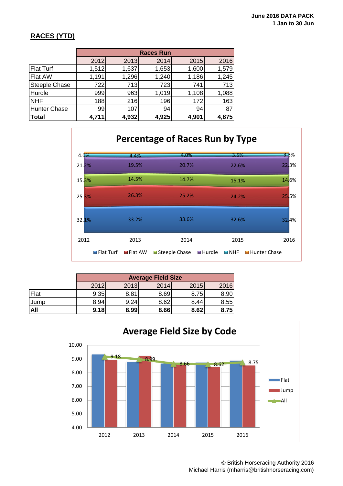### **RACES (YTD)**

|                      | <b>Races Run</b> |       |       |       |       |  |  |  |
|----------------------|------------------|-------|-------|-------|-------|--|--|--|
|                      | 2012             | 2013  | 2014  | 2015  | 2016  |  |  |  |
| <b>Flat Turf</b>     | 1,512            | 1,637 | 1,653 | 1,600 | 1,579 |  |  |  |
| Flat AW              | 1,191            | 1,296 | 1,240 | 1,186 | 1,245 |  |  |  |
| <b>Steeple Chase</b> | 722              | 713   | 723   | 741   | 713   |  |  |  |
| Hurdle               | 999              | 963   | 1,019 | 1,108 | 1,088 |  |  |  |
| <b>NHF</b>           | 188              | 216   | 196   | 172   | 163   |  |  |  |
| Hunter Chase         | 99               | 107   | 94    | 94    | 87    |  |  |  |
| Total                | 4,711            | 4,932 | 4,925 | 4,901 | 4,875 |  |  |  |



|             |      | <b>Average Field Size</b> |      |      |      |  |  |  |
|-------------|------|---------------------------|------|------|------|--|--|--|
|             | 2012 | 2013                      | 2014 | 2015 | 2016 |  |  |  |
| Flat        | 9.35 | 8.81                      | 8.69 | 8.75 | 8.90 |  |  |  |
| <b>Jump</b> | 8.94 | 9.24                      | 8.62 | 8.44 | 8.55 |  |  |  |
| <b>All</b>  | 9.18 | 8.99                      | 8.66 | 8.62 | 8.75 |  |  |  |



© British Horseracing Authority 2016 Michael Harris (mharris@britishhorseracing.com)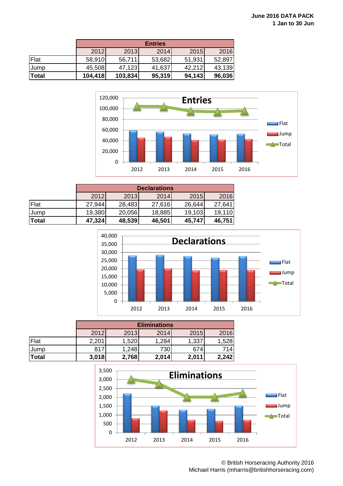|       | <b>Entries</b> |         |        |        |        |  |  |
|-------|----------------|---------|--------|--------|--------|--|--|
|       | 2012           | 2013    | 2014   | 2015   | 2016   |  |  |
| Flat  | 58,910         | 56,711  | 53,682 | 51,931 | 52,897 |  |  |
| Jump  | 45,508         | 47,123  | 41,637 | 42,212 | 43,139 |  |  |
| Total | 104,418        | 103,834 | 95,319 | 94,143 | 96,036 |  |  |



|              | <b>Declarations</b> |        |        |        |        |  |  |
|--------------|---------------------|--------|--------|--------|--------|--|--|
|              | 2012                | 2013   | 2014   | 2015   | 2016   |  |  |
| Flat         | 27,944              | 28,483 | 27,616 | 26,644 | 27,641 |  |  |
| Jump         | 19,380              | 20,056 | 18,885 | 19,103 | 19,110 |  |  |
| <b>Total</b> | 47,324              | 48,539 | 46,501 | 45,747 | 46,751 |  |  |



|              |       | <b>Eliminations</b> |       |       |       |  |  |  |
|--------------|-------|---------------------|-------|-------|-------|--|--|--|
|              | 2012  | 2013                | 2014  | 2015  | 2016  |  |  |  |
| Flat         | 2,201 | 1,520               | 1,284 | 1,337 | 1,528 |  |  |  |
| <b>Jump</b>  | 817   | 1,248               | 730   | 674   | 714   |  |  |  |
| <b>Total</b> | 3,018 | 2,768               | 2,014 | 2,011 | 2,242 |  |  |  |



© British Horseracing Authority 2016 Michael Harris (mharris@britishhorseracing.com)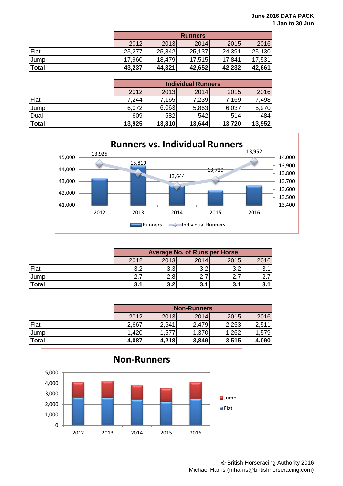|              | <b>Runners</b> |        |        |        |        |  |  |
|--------------|----------------|--------|--------|--------|--------|--|--|
|              | 2012           | 2013   | 2014   | 2015   | 2016   |  |  |
| Flat         | 25,277         | 25,842 | 25,137 | 24,391 | 25,130 |  |  |
| <b>Jump</b>  | 17,960         | 18,479 | 17,515 | 17,841 | 17,531 |  |  |
| <b>Total</b> | 43,237         | 44,321 | 42,652 | 42,232 | 42,661 |  |  |

|       | <b>Individual Runners</b> |        |        |        |        |  |  |
|-------|---------------------------|--------|--------|--------|--------|--|--|
|       | 2012                      | 2013   | 2014   | 2015   | 2016   |  |  |
| Flat  | 7,244                     | 7,165  | 7,239  | 7,169  | 7,498  |  |  |
| Jump  | 6,072                     | 6,063  | 5,863  | 6,037  | 5,970  |  |  |
| Dual  | 609                       | 582    | 542    | 514l   | 484    |  |  |
| Total | 13,925                    | 13,810 | 13,644 | 13,720 | 13,952 |  |  |



|              | <b>Average No. of Runs per Horse</b> |      |      |      |      |  |
|--------------|--------------------------------------|------|------|------|------|--|
|              | 2012                                 | 2013 | 2014 | 2015 | 2016 |  |
| Flat         | າ າ                                  | 3.3  | າ າ  | າ າ  |      |  |
| <b>Jump</b>  |                                      | 2.8  |      |      |      |  |
| <b>Total</b> |                                      | 3.2  |      | 3.1  | 3.1  |  |

|              | <b>Non-Runners</b> |       |       |       |        |  |  |
|--------------|--------------------|-------|-------|-------|--------|--|--|
|              | 2012               | 2013  | 2014  | 2015  | 2016   |  |  |
| Flat         | 2,667              | 2,641 | 2,479 | 2,253 | 2,511  |  |  |
| <b>Jump</b>  | 1,420              | 1,577 | 1,370 | .262  | 579. ا |  |  |
| <b>Total</b> | 4,087              | 4,218 | 3,849 | 3,515 | 4,090  |  |  |

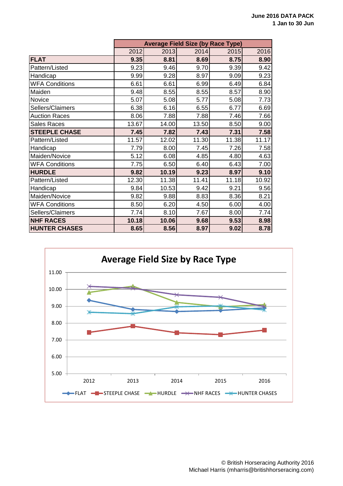|                       | <b>Average Field Size (by Race Type)</b> |       |       |       |       |  |
|-----------------------|------------------------------------------|-------|-------|-------|-------|--|
|                       | 2012                                     | 2013  | 2014  | 2015  | 2016  |  |
| <b>FLAT</b>           | 9.35                                     | 8.81  | 8.69  | 8.75  | 8.90  |  |
| Pattern/Listed        | 9.23                                     | 9.46  | 9.70  | 9.39  | 9.42  |  |
| Handicap              | 9.99                                     | 9.28  | 8.97  | 9.09  | 9.23  |  |
| <b>WFA Conditions</b> | 6.61                                     | 6.61  | 6.99  | 6.49  | 6.84  |  |
| Maiden                | 9.48                                     | 8.55  | 8.55  | 8.57  | 8.90  |  |
| Novice                | 5.07                                     | 5.08  | 5.77  | 5.08  | 7.73  |  |
| Sellers/Claimers      | 6.38                                     | 6.16  | 6.55  | 6.77  | 6.69  |  |
| <b>Auction Races</b>  | 8.06                                     | 7.88  | 7.88  | 7.46  | 7.66  |  |
| <b>Sales Races</b>    | 13.67                                    | 14.00 | 13.50 | 8.50  | 9.00  |  |
| <b>STEEPLE CHASE</b>  | 7.45                                     | 7.82  | 7.43  | 7.31  | 7.58  |  |
| Pattern/Listed        | 11.57                                    | 12.02 | 11.30 | 11.38 | 11.17 |  |
| Handicap              | 7.79                                     | 8.00  | 7.45  | 7.26  | 7.58  |  |
| Maiden/Novice         | 5.12                                     | 6.08  | 4.85  | 4.80  | 4.63  |  |
| <b>WFA Conditions</b> | 7.75                                     | 6.50  | 6.40  | 6.43  | 7.00  |  |
| <b>HURDLE</b>         | 9.82                                     | 10.19 | 9.23  | 8.97  | 9.10  |  |
| Pattern/Listed        | 12.30                                    | 11.38 | 11.41 | 11.18 | 10.92 |  |
| Handicap              | 9.84                                     | 10.53 | 9.42  | 9.21  | 9.56  |  |
| Maiden/Novice         | 9.82                                     | 9.88  | 8.83  | 8.36  | 8.21  |  |
| <b>WFA Conditions</b> | 8.50                                     | 6.20  | 4.50  | 6.00  | 4.00  |  |
| Sellers/Claimers      | 7.74                                     | 8.10  | 7.67  | 8.00  | 7.74  |  |
| <b>NHF RACES</b>      | 10.18                                    | 10.06 | 9.68  | 9.53  | 8.98  |  |
| <b>HUNTER CHASES</b>  | 8.65                                     | 8.56  | 8.97  | 9.02  | 8.78  |  |

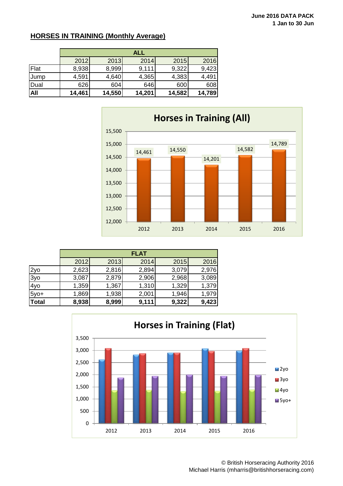### **HORSES IN TRAINING (Monthly Average)**

|      | <b>ALL</b> |        |        |        |        |  |  |
|------|------------|--------|--------|--------|--------|--|--|
|      | 2012       | 2013   | 2014   | 2015   | 2016   |  |  |
| Flat | 8,938      | 8,999  | 9,111  | 9,322  | 9,423  |  |  |
| Jump | 4,591      | 4,640  | 4,365  | 4,383  | 4,491  |  |  |
| Dual | 626        | 604    | 646    | 600    | 608    |  |  |
| All  | 14,461     | 14,550 | 14,201 | 14,582 | 14,789 |  |  |



|              | <b>FLAT</b> |       |       |       |       |  |  |
|--------------|-------------|-------|-------|-------|-------|--|--|
|              | 2012        | 2013  | 2014  | 2015  | 2016  |  |  |
| 2yo          | 2,623       | 2,816 | 2,894 | 3,079 | 2,976 |  |  |
| 3yo          | 3,087       | 2,879 | 2,906 | 2,968 | 3,089 |  |  |
| 4yo          | 1,359       | 1,367 | 1,310 | 1,329 | 1,379 |  |  |
| $5y0+$       | 1,869       | 1,938 | 2,001 | 1,946 | 1,979 |  |  |
| <b>Total</b> | 8,938       | 8,999 | 9,111 | 9,322 | 9,423 |  |  |



© British Horseracing Authority 2016 Michael Harris (mharris@britishhorseracing.com)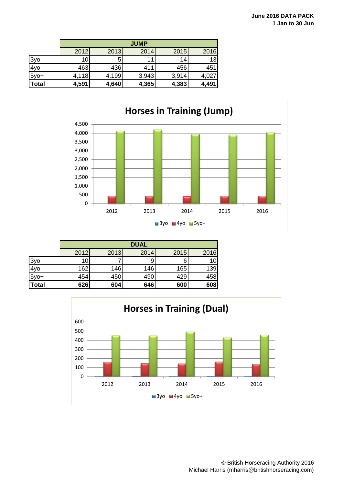|              | <b>JUMP</b> |       |       |       |       |  |  |
|--------------|-------------|-------|-------|-------|-------|--|--|
|              | 2012        | 2013  | 2014  | 2015  | 2016  |  |  |
| 3yo          | 10          | 5     | 11    | 14    | 13    |  |  |
| 4yo          | 463         | 436   | 411   | 456   | 451   |  |  |
| $5y0+$       | 4,118       | 4,199 | 3,943 | 3,914 | 4,027 |  |  |
| <b>Total</b> | 4,591       | 4,640 | 4,365 | 4,383 | 4,491 |  |  |



|              | <b>DUAL</b>     |      |      |      |      |  |  |
|--------------|-----------------|------|------|------|------|--|--|
|              | 2012            | 2013 | 2014 | 2015 | 2016 |  |  |
| 3yo          | 10 <sub>l</sub> |      |      | 6    |      |  |  |
| 4yo          | 162             | 146  | 146  | 165  | 139  |  |  |
| $5y0+$       | 454             | 450  | 490  | 429  | 458  |  |  |
| <b>Total</b> | 626             | 604  | 646  | 600  | 608  |  |  |

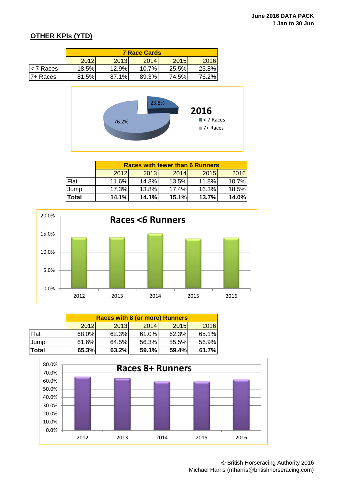## **OTHER KPIs (YTD)**

|             | <b>7 Race Cards</b> |       |       |        |       |  |  |
|-------------|---------------------|-------|-------|--------|-------|--|--|
|             | 2012                | 2013  | 2014  | 2015   | 2016  |  |  |
| $<$ 7 Races | 18.5%               | 12.9% | 10.7% | 25.5%  | 23.8% |  |  |
| 17+ Races   | 81.5%               | 87.1% | 89.3% | 74.5%I | 76.2% |  |  |



|       | <b>Races with fewer than 6 Runners</b> |       |       |             |       |  |  |
|-------|----------------------------------------|-------|-------|-------------|-------|--|--|
|       | 2012                                   | 2013  | 2014  | <b>2015</b> | 2016  |  |  |
| Flat  | 11.6%                                  | 14.3% | 13.5% | 11.8%       | 10.7% |  |  |
| Jump  | 17.3%                                  | 13.8% | 17.4% | 16.3%       | 18.5% |  |  |
| Total | 14.1%                                  | 14.1% | 15.1% | 13.7%       | 14.0% |  |  |



|             | <b>Races with 8 (or more) Runners</b> |       |       |       |       |  |  |
|-------------|---------------------------------------|-------|-------|-------|-------|--|--|
|             | 2012                                  | 2013  | 2014  | 2015  | 2016  |  |  |
| Flat        | 68.0%                                 | 62.3% | 61.0% | 62.3% | 65.1% |  |  |
| <b>Jump</b> | 61.6%                                 | 64.5% | 56.3% | 55.5% | 56.9% |  |  |
| Total       | 65.3%                                 | 63.2% | 59.1% | 59.4% | 61.7% |  |  |